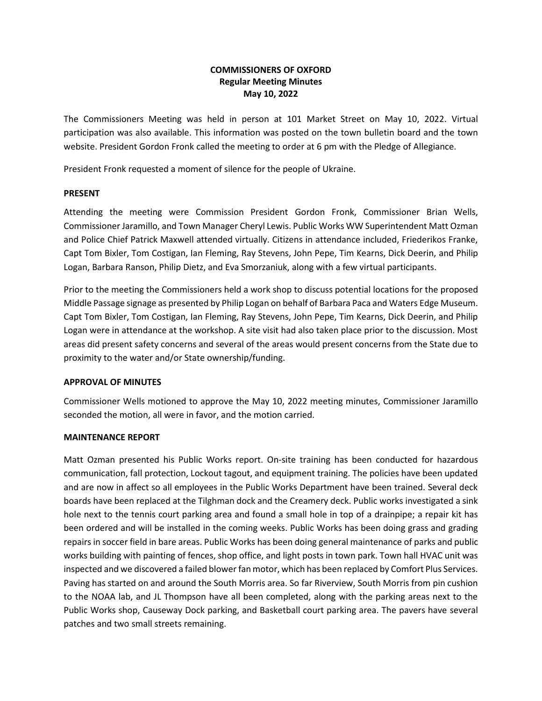# **COMMISSIONERS OF OXFORD Regular Meeting Minutes May 10, 2022**

The Commissioners Meeting was held in person at 101 Market Street on May 10, 2022. Virtual participation was also available. This information was posted on the town bulletin board and the town website. President Gordon Fronk called the meeting to order at 6 pm with the Pledge of Allegiance.

President Fronk requested a moment of silence for the people of Ukraine.

## **PRESENT**

Attending the meeting were Commission President Gordon Fronk, Commissioner Brian Wells, Commissioner Jaramillo, and Town Manager Cheryl Lewis. Public Works WW Superintendent Matt Ozman and Police Chief Patrick Maxwell attended virtually. Citizens in attendance included, Friederikos Franke, Capt Tom Bixler, Tom Costigan, Ian Fleming, Ray Stevens, John Pepe, Tim Kearns, Dick Deerin, and Philip Logan, Barbara Ranson, Philip Dietz, and Eva Smorzaniuk, along with a few virtual participants.

Prior to the meeting the Commissioners held a work shop to discuss potential locations for the proposed Middle Passage signage as presented by Philip Logan on behalf of Barbara Paca and Waters Edge Museum. Capt Tom Bixler, Tom Costigan, Ian Fleming, Ray Stevens, John Pepe, Tim Kearns, Dick Deerin, and Philip Logan were in attendance at the workshop. A site visit had also taken place prior to the discussion. Most areas did present safety concerns and several of the areas would present concerns from the State due to proximity to the water and/or State ownership/funding.

## **APPROVAL OF MINUTES**

Commissioner Wells motioned to approve the May 10, 2022 meeting minutes, Commissioner Jaramillo seconded the motion, all were in favor, and the motion carried.

#### **MAINTENANCE REPORT**

Matt Ozman presented his Public Works report. On-site training has been conducted for hazardous communication, fall protection, Lockout tagout, and equipment training. The policies have been updated and are now in affect so all employees in the Public Works Department have been trained. Several deck boards have been replaced at the Tilghman dock and the Creamery deck. Public works investigated a sink hole next to the tennis court parking area and found a small hole in top of a drainpipe; a repair kit has been ordered and will be installed in the coming weeks. Public Works has been doing grass and grading repairs in soccer field in bare areas. Public Works has been doing general maintenance of parks and public works building with painting of fences, shop office, and light posts in town park. Town hall HVAC unit was inspected and we discovered a failed blower fan motor, which has been replaced by Comfort Plus Services. Paving has started on and around the South Morris area. So far Riverview, South Morris from pin cushion to the NOAA lab, and JL Thompson have all been completed, along with the parking areas next to the Public Works shop, Causeway Dock parking, and Basketball court parking area. The pavers have several patches and two small streets remaining.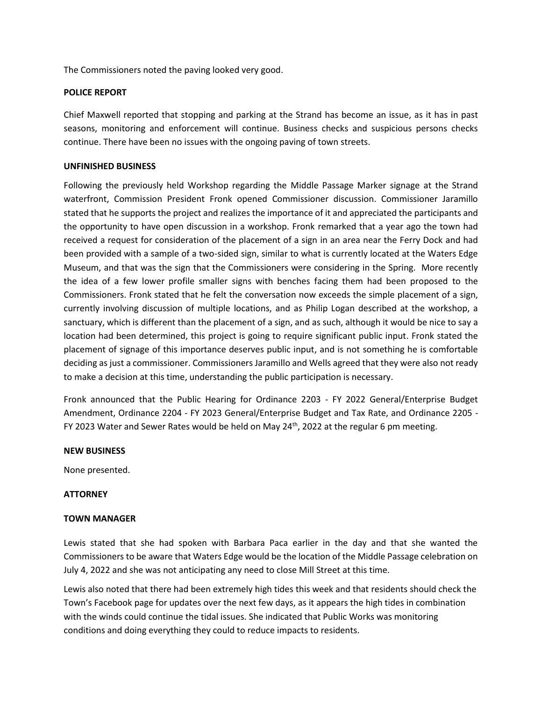The Commissioners noted the paving looked very good.

### **POLICE REPORT**

Chief Maxwell reported that stopping and parking at the Strand has become an issue, as it has in past seasons, monitoring and enforcement will continue. Business checks and suspicious persons checks continue. There have been no issues with the ongoing paving of town streets.

#### **UNFINISHED BUSINESS**

Following the previously held Workshop regarding the Middle Passage Marker signage at the Strand waterfront, Commission President Fronk opened Commissioner discussion. Commissioner Jaramillo stated that he supports the project and realizes the importance of it and appreciated the participants and the opportunity to have open discussion in a workshop. Fronk remarked that a year ago the town had received a request for consideration of the placement of a sign in an area near the Ferry Dock and had been provided with a sample of a two-sided sign, similar to what is currently located at the Waters Edge Museum, and that was the sign that the Commissioners were considering in the Spring. More recently the idea of a few lower profile smaller signs with benches facing them had been proposed to the Commissioners. Fronk stated that he felt the conversation now exceeds the simple placement of a sign, currently involving discussion of multiple locations, and as Philip Logan described at the workshop, a sanctuary, which is different than the placement of a sign, and as such, although it would be nice to say a location had been determined, this project is going to require significant public input. Fronk stated the placement of signage of this importance deserves public input, and is not something he is comfortable deciding as just a commissioner. Commissioners Jaramillo and Wells agreed that they were also not ready to make a decision at this time, understanding the public participation is necessary.

Fronk announced that the Public Hearing for Ordinance 2203 - FY 2022 General/Enterprise Budget Amendment, Ordinance 2204 - FY 2023 General/Enterprise Budget and Tax Rate, and Ordinance 2205 - FY 2023 Water and Sewer Rates would be held on May  $24<sup>th</sup>$ , 2022 at the regular 6 pm meeting.

#### **NEW BUSINESS**

None presented.

#### **ATTORNEY**

## **TOWN MANAGER**

Lewis stated that she had spoken with Barbara Paca earlier in the day and that she wanted the Commissioners to be aware that Waters Edge would be the location of the Middle Passage celebration on July 4, 2022 and she was not anticipating any need to close Mill Street at this time.

Lewis also noted that there had been extremely high tides this week and that residents should check the Town's Facebook page for updates over the next few days, as it appears the high tides in combination with the winds could continue the tidal issues. She indicated that Public Works was monitoring conditions and doing everything they could to reduce impacts to residents.